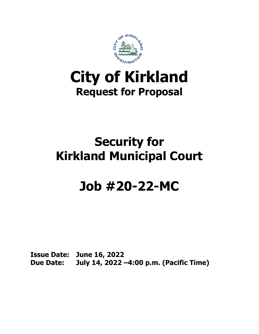

## **City of Kirkland Request for Proposal**

## **Security for Kirkland Municipal Court**

# **Job #20-22-MC**

**Issue Date: June 16, 2022 Due Date: July 14, 2022 –4:00 p.m. (Pacific Time)**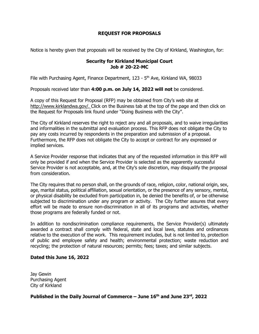## **REQUEST FOR PROPOSALS**

Notice is hereby given that proposals will be received by the City of Kirkland, Washington, for:

#### **Security for Kirkland Municipal Court Job # 20-22-MC**

File with Purchasing Agent, Finance Department, 123 -  $5<sup>th</sup>$  Ave, Kirkland WA, 98033

Proposals received later than **4:00 p.m. on July 14, 2022 will not** be considered.

A copy of this Request for Proposal (RFP) may be obtained from City's web site at [http://www.kirklandwa.gov/.](http://www.kirklandwa.gov/) Click on the Business tab at the top of the page and then click on the Request for Proposals link found under "Doing Business with the City".

The City of Kirkland reserves the right to reject any and all proposals, and to waive irregularities and informalities in the submittal and evaluation process. This RFP does not obligate the City to pay any costs incurred by respondents in the preparation and submission of a proposal. Furthermore, the RFP does not obligate the City to accept or contract for any expressed or implied services.

A Service Provider response that indicates that any of the requested information in this RFP will only be provided if and when the Service Provider is selected as the apparently successful Service Provider is not acceptable, and, at the City's sole discretion, may disqualify the proposal from consideration.

The City requires that no person shall, on the grounds of race, religion, color, national origin, sex, age, marital status, political affiliation, sexual orientation, or the presence of any sensory, mental, or physical disability be excluded from participation in, be denied the benefits of, or be otherwise subjected to discrimination under any program or activity. The City further assures that every effort will be made to ensure non-discrimination in all of its programs and activities, whether those programs are federally funded or not.

In addition to nondiscrimination compliance requirements, the Service Provider(s) ultimately awarded a contract shall comply with federal, state and local laws, statutes and ordinances relative to the execution of the work. This requirement includes, but is not limited to, protection of public and employee safety and health; environmental protection; waste reduction and recycling; the protection of natural resources; permits; fees; taxes; and similar subjects.

## **Dated this June 16, 2022**

Jay Gewin Purchasing Agent City of Kirkland

## **Published in the Daily Journal of Commerce – June 16th and June 23rd, 2022**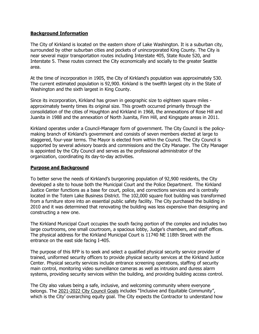#### **Background Information**

The City of Kirkland is located on the eastern shore of Lake Washington. It is a suburban city, surrounded by other suburban cities and pockets of unincorporated King County. The City is near several major transportation routes including Interstate 405, State Route 520, and Interstate 5. These routes connect the City economically and socially to the greater Seattle area.

At the time of incorporation in 1905, the City of Kirkland's population was approximately 530. The current estimated population is 92,900. Kirkland is the twelfth largest city in the State of Washington and the sixth largest in King County.

Since its incorporation, Kirkland has grown in geographic size to eighteen square miles approximately twenty times its original size. This growth occurred primarily through the consolidation of the cities of Houghton and Kirkland in 1968, the annexations of Rose Hill and Juanita in 1988 and the annexation of North Juanita, Finn Hill, and Kingsgate areas in 2011.

Kirkland operates under a Council-Manager form of government. The City Council is the policymaking branch of Kirkland's government and consists of seven members elected at large to staggered, four-year terms. The Mayor is elected from within the Council. The City Council is supported by several advisory boards and commissions and the City Manager. The City Manager is appointed by the City Council and serves as the professional administrator of the organization, coordinating its day-to-day activities.

#### **Purpose and Background**

To better serve the needs of Kirkland's burgeoning population of 92,900 residents, the City developed a site to house both the Municipal Court and the Police Department. The Kirkland Justice Center functions as a base for court, police, and corrections services and is centrally located in the Totem Lake Business District. The 102,000 square foot building was transformed from a furniture store into an essential public safety facility. The City purchased the building in 2010 and it was determined that renovating the building was less expensive than designing and constructing a new one.

The Kirkland Municipal Court occupies the south facing portion of the complex and includes two large courtrooms, one small courtroom, a spacious lobby, Judge's chambers, and staff offices. The physical address for the Kirkland Municipal Court is 11740 NE 118th Street with the entrance on the east side facing I-405.

The purpose of this RFP is to seek and select a qualified physical security service provider of trained, uniformed security officers to provide physical security services at the Kirkland Justice Center. Physical security services include entrance screening operations, staffing of security main control, monitoring video surveillance cameras as well as intrusion and duress alarm systems, providing security services within the building, and providing building access control.

The City also values being a safe, inclusive, and welcoming community where everyone belongs. The [2021-2022 City Council Goals](https://www.kirklandwa.gov/files/sharedassets/public/city-managers-office/pdfs/2021-2022_council-goals_final.pdf) includes "Inclusive and Equitable Community", which is the City' overarching equity goal. The City expects the Contractor to understand how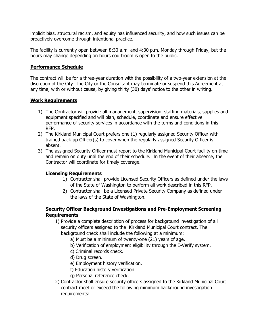implicit bias, structural racism, and equity has influenced security, and how such issues can be proactively overcome through intentional practice.

The facility is currently open between 8:30 a.m. and 4:30 p.m. Monday through Friday, but the hours may change depending on hours courtroom is open to the public.

## **Performance Schedule**

The contract will be for a three-year duration with the possibility of a two-year extension at the discretion of the City. The City or the Consultant may terminate or suspend this Agreement at any time, with or without cause, by giving thirty (30) days' notice to the other in writing.

#### **Work Requirements**

- 1) The Contractor will provide all management, supervision, staffing materials, supplies and equipment specified and will plan, schedule, coordinate and ensure effective performance of security services in accordance with the terms and conditions in this RFP.
- 2) The Kirkland Municipal Court prefers one (1) regularly assigned Security Officer with trained back-up Officer(s) to cover when the regularly assigned Security Officer is absent.
- 3) The assigned Security Officer must report to the Kirkland Municipal Court facility on-time and remain on duty until the end of their schedule. In the event of their absence, the Contractor will coordinate for timely coverage.

## **Licensing Requirements**

- 1) Contractor shall provide Licensed Security Officers as defined under the laws of the State of Washington to perform all work described in this RFP.
- 2) Contractor shall be a Licensed Private Security Company as defined under the laws of the State of Washington.

## **Security Officer Background Investigations and Pre-Employment Screening Requirements**

- 1) Provide a complete description of process for background investigation of all security officers assigned to the Kirkland Municipal Court contract. The background check shall include the following at a minimum:
	- a) Must be a minimum of twenty-one (21) years of age.
	- b) Verification of employment eligibility through the E-Verify system.
	- c) Criminal records check.
	- d) Drug screen.
	- e) Employment history verification.
	- f) Education history verification.
	- g) Personal reference check.
- 2) Contractor shall ensure security officers assigned to the Kirkland Municipal Court contract meet or exceed the following minimum background investigation requirements: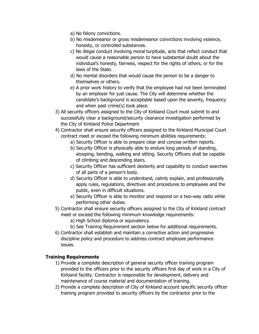- a) No felony convictions.
- b) No misdemeanor or gross misdemeanor convictions involving violence, honesty, or controlled substances.
- c) No illegal conduct involving moral turpitude, acts that reflect conduct that would cause a reasonable person to have substantial doubt about the individual's honesty, fairness, respect for the rights of others, or for the laws of the State.
- d) No mental disorders that would cause the person to be a danger to themselves or others.
- e) A prior work history to verify that the employee had not been terminated by an employer for just cause. The City will determine whether the candidate's background is acceptable based upon the severity, frequency and when past crime(s) took place.
- 3) All security officers assigned to the City of Kirkland Court must submit to and successfully clear a background/security clearance investigation performed by the City of Kirkland Police Department
- 4) Contractor shall ensure security officers assigned to the Kirkland Municipal Court contract meet or exceed the following minimum abilities requirements:
	- a) Security Officer is able to prepare clear and concise written reports.
	- b) Security Officer is physically able to endure long periods of standing, stooping, bending, walking and sitting. Security Officers shall be capable of climbing and descending stairs.
	- c) Security Officer has sufficient dexterity and capability to conduct searches of all parts of a person's body.
	- d) Security Officer is able to understand, calmly explain, and professionally apply rules, regulations, directives and procedures to employees and the public, even in difficult situations.
	- e) Security Officer is able to monitor and respond on a two-way radio while performing other duties.
- 5) Contractor shall ensure security officers assigned to the City of Kirkland contract meet or exceed the following minimum knowledge requirements:
	- a) High School diploma or equivalency.
	- b) See Training Requirement section below for additional requirements.
- 6) Contractor shall establish and maintain a corrective action and progressive discipline policy and procedure to address contract employee performance issues.

## **Training Requirements**

- 1) Provide a complete description of general security officer training program provided to the officers prior to the security officers first day of work in a City of Kirkland facility. Contractor is responsible for development, delivery and maintenance of course material and documentation of training.
- 2) Provide a complete description of City of Kirkland account specific security officer training program provided to security officers by the contractor prior to the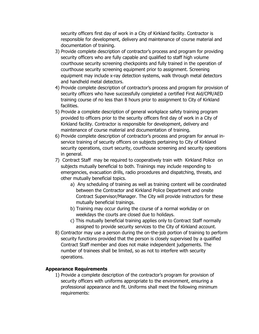security officers first day of work in a City of Kirkland facility. Contractor is responsible for development, delivery and maintenance of course material and documentation of training.

- 3) Provide complete description of contractor's process and program for providing security officers who are fully capable and qualified to staff high volume courthouse security screening checkpoints and fully trained in the operation of courthouse security screening equipment prior to assignment. Screening equipment may include x-ray detection systems, walk through metal detectors and handheld metal detectors.
- 4) Provide complete description of contractor's process and program for provision of security officers who have successfully completed a certified First Aid/CPR/AED training course of no less than 8 hours prior to assignment to City of Kirkland facilities.
- 5) Provide a complete description of general workplace safety training program provided to officers prior to the security officers first day of work in a City of Kirkland facility. Contractor is responsible for development, delivery and maintenance of course material and documentation of training.
- 6) Provide complete description of contractor's process and program for annual inservice training of security officers on subjects pertaining to City of Kirkland security operations, court security, courthouse screening and security operations in general.
- 7) Contract Staff may be required to cooperatively train with Kirkland Police on subjects mutually beneficial to both. Trainings may include responding to emergencies, evacuation drills, radio procedures and dispatching, threats, and other mutually beneficial topics.
	- a) Any scheduling of training as well as training content will be coordinated between the Contractor and Kirkland Police Department and onsite Contract Supervisor/Manager. The City will provide instructors for these mutually beneficial trainings.
	- b) Training may occur during the course of a normal workday or on weekdays the courts are closed due to holidays.
	- c) This mutually beneficial training applies only to Contract Staff normally assigned to provide security services to the City of Kirkland account.
- 8) Contractor may use a person during the on-the-job portion of training to perform security functions provided that the person is closely supervised by a qualified Contract Staff member and does not make independent judgements. The number of trainees shall be limited, so as not to interfere with security operations.

## **Appearance Requirements**

1) Provide a complete description of the contractor's program for provision of security officers with uniforms appropriate to the environment, ensuring a professional appearance and fit. Uniforms shall meet the following minimum requirements: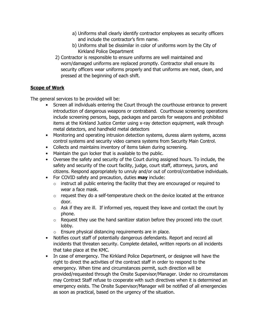- a) Uniforms shall clearly identify contractor employees as security officers and include the contractor's firm name.
- b) Uniforms shall be dissimilar in color of uniforms worn by the City of Kirkland Police Department
- 2) Contractor is responsible to ensure uniforms are well maintained and worn/damaged uniforms are replaced promptly. Contractor shall ensure its security officers wear uniforms properly and that uniforms are neat, clean, and pressed at the beginning of each shift.

## **Scope of Work**

The general services to be provided will be:

- Screen all individuals entering the Court through the courthouse entrance to prevent introduction of dangerous weapons or contraband. Courthouse screening operations include screening persons, bags, packages and parcels for weapons and prohibited items at the Kirkland Justice Center using x-ray detection equipment, walk through metal detectors, and handheld metal detectors
- Monitoring and operating intrusion detection systems, duress alarm systems, access control systems and security video camera systems from Security Main Control.
- Collects and maintains inventory of items taken during screening.
- Maintain the gun locker that is available to the public.
- Oversee the safety and security of the Court during assigned hours. To include, the safety and security of the court facility, judge, court staff, attorneys, jurors, and citizens. Respond appropriately to unruly and/or out of control/combative individuals.
- For COVID safety and precaution, duties **may** include:
	- $\circ$  instruct all public entering the facility that they are encouraged or required to wear a face mask.
	- $\circ$  request they do a self-temperature check on the device located at the entrance door.
	- $\circ$  Ask if they are ill. If informed yes, request they leave and contact the court by phone.
	- $\circ$  Request they use the hand sanitizer station before they proceed into the court lobby.
	- o Ensure physical distancing requirements are in place.
- Notifies court staff of potentially dangerous defendants. Report and record all incidents that threaten security. Complete detailed, written reports on all incidents that take place at the KMC.
- In case of emergency. The Kirkland Police Department, or designee will have the right to direct the activities of the contract staff in order to respond to the emergency. When time and circumstances permit, such direction will be provided/requested through the Onsite Supervisor/Manager. Under no circumstances may Contract Staff refuse to cooperate with such directives when it is determined an emergency exists. The Onsite Supervisor/Manager will be notified of all emergencies as soon as practical, based on the urgency of the situation.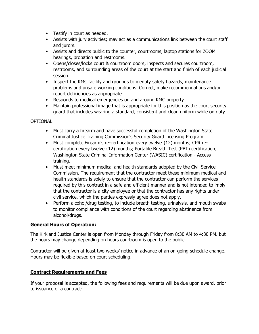- Testify in court as needed.
- Assists with jury activities; may act as a communications link between the court staff and jurors.
- Assists and directs public to the counter, courtrooms, laptop stations for ZOOM hearings, probation and restrooms.
- Opens/closes/locks court & courtroom doors; inspects and secures courtroom, restrooms, and surrounding areas of the court at the start and finish of each judicial session.
- Inspect the KMC facility and grounds to identify safety hazards, maintenance problems and unsafe working conditions. Correct, make recommendations and/or report deficiencies as appropriate.
- Responds to medical emergencies on and around KMC property.
- Maintain professional image that is appropriate for this position as the court security guard that includes wearing a standard, consistent and clean uniform while on duty.

## OPTIONAL:

- Must carry a firearm and have successful completion of the Washington State Criminal Justice Training Commission's Security Guard Licensing Program.
- Must complete Firearm's re-certification every twelve {12) months; CPR recertification every twelve {12) months; Portable Breath Test (PBT) certification; Washington State Criminal Information Center (WASIC) certification - Access training.
- Must meet minimum medical and health standards adopted by the Civil Service Commission. The requirement that the contractor meet these minimum medical and health standards is solely to ensure that the contractor can perform the services required by this contract in a safe and efficient manner and is not intended to imply that the contractor is a city employee or that the contractor has any rights under civil service, which the parties expressly agree does not apply.
- Perform alcohol/drug testing, to include breath testing, urinalysis, and mouth swabs to monitor compliance with conditions of the court regarding abstinence from alcohol/drugs.

## **General Hours of Operation:**

The Kirkland Justice Center is open from Monday through Friday from 8:30 AM to 4:30 PM. but the hours may change depending on hours courtroom is open to the public.

Contractor will be given at least two weeks' notice in advance of an on-going schedule change. Hours may be flexible based on court scheduling.

## **Contract Requirements and Fees**

If your proposal is accepted, the following fees and requirements will be due upon award, prior to issuance of a contract: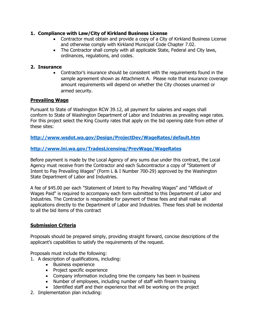## **1. Compliance with Law/City of Kirkland Business License**

- Contractor must obtain and provide a copy of a City of Kirkland Business License and otherwise comply with Kirkland Municipal Code Chapter 7.02.
- The Contractor shall comply with all applicable State, Federal and City laws, ordinances, regulations, and codes.

## **2. Insurance**

• Contractor's insurance should be consistent with the requirements found in the sample agreement shown as Attachment A. Please note that insurance coverage amount requirements will depend on whether the City chooses unarmed or armed security.

## **Prevailing Wage**

Pursuant to State of Washington RCW 39.12, all payment for salaries and wages shall conform to State of Washington Department of Labor and Industries as prevailing wage rates. For this project select the King County rates that apply on the bid opening date from either of these sites:

## **<http://www.wsdot.wa.gov/Design/ProjectDev/WageRates/default.htm>**

## **<http://www.lni.wa.gov/TradesLicensing/PrevWage/WageRates>**

Before payment is made by the Local Agency of any sums due under this contract, the Local Agency must receive from the Contractor and each Subcontractor a copy of "Statement of Intent to Pay Prevailing Wages" (Form L & I Number 700-29) approved by the Washington State Department of Labor and Industries.

A fee of \$45.00 per each "Statement of Intent to Pay Prevailing Wages" and "Affidavit of Wages Paid" is required to accompany each form submitted to this Department of Labor and Industries. The Contractor is responsible for payment of these fees and shall make all applications directly to the Department of Labor and Industries. These fees shall be incidental to all the bid items of this contract

## **Submission Criteria**

Proposals should be prepared simply, providing straight forward, concise descriptions of the applicant's capabilities to satisfy the requirements of the request.

Proposals must include the following:

- 1. A description of qualifications, including:
	- Business experience
	- Project specific experience
	- Company information including time the company has been in business
	- Number of employees, including number of staff with firearm training
	- Identified staff and their experience that will be working on the project
- 2. Implementation plan including: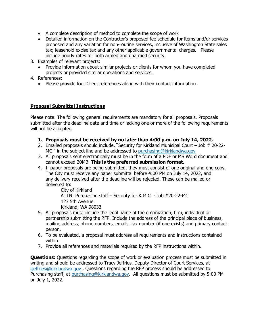- A complete description of method to complete the scope of work
- Detailed information on the Contractor's proposed fee schedule for items and/or services proposed and any variation for non-routine services, inclusive of Washington State sales tax; leasehold excise tax and any other applicable governmental charges. Please include hourly rates for both armed and unarmed security.
- 3. Examples of relevant projects:
	- Provide information about similar projects or clients for whom you have completed projects or provided similar operations and services.
- 4. References:
	- Please provide four Client references along with their contact information.

## **Proposal Submittal Instructions**

Please note: The following general requirements are mandatory for all proposals. Proposals submitted after the deadline date and time or lacking one or more of the following requirements will not be accepted.

- **1. Proposals must be received by no later than 4:00 p.m. on July 14, 2022.**
- 2. Emailed proposals should include, "Security for Kirkland Municipal Court Job # 20-22- MC " in the subject line and be addressed to [purchasing@kirklandwa.gov](mailto:purchasing@kirklandwa.gov)
- 3. All proposals sent electronically must be in the form of a PDF or MS Word document and cannot exceed 20MB. **This is the preferred submission format.**
- 4. If paper proposals are being submitted, they must consist of one original and one copy. The City must receive any paper submittal before 4:00 PM on July 14, 2022, and any delivery received after the deadline will be rejected. These can be mailed or delivered to:

City of Kirkland ATTN: Purchasing staff – Security for K.M.C. - Job #20-22-MC 123 5th Avenue Kirkland, WA 98033

- 5. All proposals must include the legal name of the organization, firm, individual or partnership submitting the RFP. Include the address of the principal place of business, mailing address, phone numbers, emails, fax number (if one exists) and primary contact person.
- 6. To be evaluated, a proposal must address all requirements and instructions contained within.
- 7. Provide all references and materials required by the RFP instructions within.

**Questions:** Questions regarding the scope of work or evaluation process must be submitted in writing and should be addressed to Tracy Jeffries, Deputy Director of Court Services, at [tjeffries@kirklandwa.gov](mailto:tjeffries@kirklandwa.gov) . Questions regarding the RFP process should be addressed to Purchasing staff, at [purchasing@kirklandwa.gov.](mailto:purchasing@kirklandwa.gov) All questions must be submitted by 5:00 PM on July 1, 2022.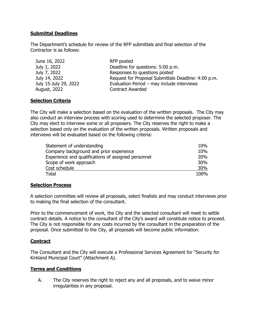#### **Submittal Deadlines**

The Department's schedule for review of the RFP submittals and final selection of the Contractor is as follows:

| June 16, 2022         | RFP posted                                          |
|-----------------------|-----------------------------------------------------|
| July 1, 2022          | Deadline for questions: 5:00 p.m.                   |
| July 7, 2022          | Responses to questions posted                       |
| July 14, 2022         | Request for Proposal Submittals Deadline: 4:00 p.m. |
| July 15-July 29, 2022 | Evaluation Period - may include interviews          |
| August, 2022          | <b>Contract Awarded</b>                             |

## **Selection Criteria**

The City will make a selection based on the evaluation of the written proposals. The City may also conduct an interview process with scoring used to determine the selected proposer. The City may elect to interview some or all proposers. The City reserves the right to make a selection based only on the evaluation of the written proposals. Written proposals and interviews will be evaluated based on the following criteria:

| Statement of understanding                          | 10%        |
|-----------------------------------------------------|------------|
| Company background and prior experience             | 10%        |
| Experience and qualifications of assigned personnel | <b>20%</b> |
| Scope of work approach                              | 30%        |
| Cost schedule                                       | 30%        |
| <b>Total</b>                                        | 100%       |

## **Selection Process**

A selection committee will review all proposals, select finalists and may conduct interviews prior to making the final selection of the consultant.

Prior to the commencement of work, the City and the selected consultant will meet to settle contract details. A notice to the consultant of the City's award will constitute notice to proceed. The City is not responsible for any costs incurred by the consultant in the preparation of the proposal. Once submitted to the City, all proposals will become public information.

## **Contract**

The Consultant and the City will execute a Professional Services Agreement for "Security for Kirkland Municipal Court" (Attachment A).

## **Terms and Conditions**

A. The City reserves the right to reject any and all proposals, and to waive minor irregularities in any proposal.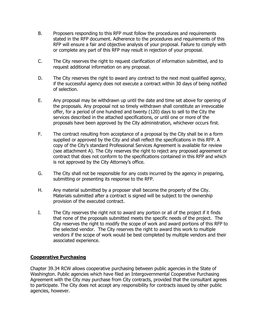- B. Proposers responding to this RFP must follow the procedures and requirements stated in the RFP document. Adherence to the procedures and requirements of this RFP will ensure a fair and objective analysis of your proposal. Failure to comply with or complete any part of this RFP may result in rejection of your proposal.
- C. The City reserves the right to request clarification of information submitted, and to request additional information on any proposal.
- D. The City reserves the right to award any contract to the next most qualified agency, if the successful agency does not execute a contract within 30 days of being notified of selection.
- E. Any proposal may be withdrawn up until the date and time set above for opening of the proposals. Any proposal not so timely withdrawn shall constitute an irrevocable offer, for a period of one hundred and twenty (120) days to sell to the City the services described in the attached specifications, or until one or more of the proposals have been approved by the City administration, whichever occurs first.
- F. The contract resulting from acceptance of a proposal by the City shall be in a form supplied or approved by the City and shall reflect the specifications in this RFP. A copy of the City's standard Professional Services Agreement is available for review (see attachment A). The City reserves the right to reject any proposed agreement or contract that does not conform to the specifications contained in this RFP and which is not approved by the City Attorney's office.
- G. The City shall not be responsible for any costs incurred by the agency in preparing, submitting or presenting its response to the RFP.
- H. Any material submitted by a proposer shall become the property of the City. Materials submitted after a contract is signed will be subject to the ownership provision of the executed contract.
- I. The City reserves the right not to award any portion or all of the project if it finds that none of the proposals submitted meets the specific needs of the project. The City reserves the right to modify the scope of work and award portions of this RFP to the selected vendor. The City reserves the right to award this work to multiple vendors if the scope of work would be best completed by multiple vendors and their associated experience.

## **Cooperative Purchasing**

Chapter 39.34 RCW allows cooperative purchasing between public agencies in the State of Washington. Public agencies which have filed an Intergovernmental Cooperative Purchasing Agreement with the City may purchase from City contracts, provided that the consultant agrees to participate. The City does not accept any responsibility for contracts issued by other public agencies, however.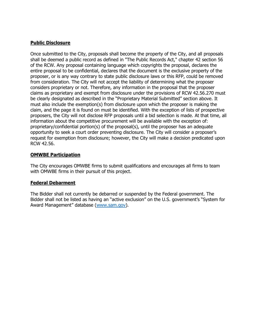## **Public Disclosure**

Once submitted to the City, proposals shall become the property of the City, and all proposals shall be deemed a public record as defined in "The Public Records Act," chapter 42 section 56 of the RCW. Any proposal containing language which copyrights the proposal, declares the entire proposal to be confidential, declares that the document is the exclusive property of the proposer, or is any way contrary to state public disclosure laws or this RFP, could be removed from consideration. The City will not accept the liability of determining what the proposer considers proprietary or not. Therefore, any information in the proposal that the proposer claims as proprietary and exempt from disclosure under the provisions of RCW 42.56.270 must be clearly designated as described in the "Proprietary Material Submitted" section above. It must also include the exemption(s) from disclosure upon which the proposer is making the claim, and the page it is found on must be identified. With the exception of lists of prospective proposers, the City will not disclose RFP proposals until a bid selection is made. At that time, all information about the competitive procurement will be available with the exception of: proprietary/confidential portion(s) of the proposal(s), until the proposer has an adequate opportunity to seek a court order preventing disclosure. The City will consider a proposer's request for exemption from disclosure; however, the City will make a decision predicated upon RCW 42.56.

#### **OMWBE Participation**

The City encourages OMWBE firms to submit qualifications and encourages all firms to team with OMWBE firms in their pursuit of this project.

## **Federal Debarment**

The Bidder shall not currently be debarred or suspended by the Federal government. The Bidder shall not be listed as having an "active exclusion" on the U.S. government's "System for Award Management" database [\(www.sam.gov\)](http://www.sam.gov/).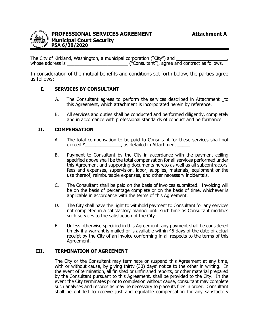

The City of Kirkland, Washington, a municipal corporation ("City") and whose address is \_\_\_\_\_\_\_\_\_\_\_\_\_\_\_\_\_\_\_\_\_\_\_\_ ("Consultant"), agree and contract as follows.

In consideration of the mutual benefits and conditions set forth below, the parties agree as follows:

## **I. SERVICES BY CONSULTANT**

- A. The Consultant agrees to perform the services described in Attachment to this Agreement, which attachment is incorporated herein by reference.
- B. All services and duties shall be conducted and performed diligently, completely and in accordance with professional standards of conduct and performance.

## **II. COMPENSATION**

- A. The total compensation to be paid to Consultant for these services shall not exceed \$ cases are the contract of the case of the case of the case of the case of the case of the case of the c
- B. Payment to Consultant by the City in accordance with the payment ceiling specified above shall be the total compensation for all services performed under this Agreement and supporting documents hereto as well as all subcontractors' fees and expenses, supervision, labor, supplies, materials, equipment or the use thereof, reimbursable expenses, and other necessary incidentals.
- C. The Consultant shall be paid on the basis of invoices submitted. Invoicing will be on the basis of percentage complete or on the basis of time, whichever is applicable in accordance with the terms of this Agreement.
- D. The City shall have the right to withhold payment to Consultant for any services not completed in a satisfactory manner until such time as Consultant modifies such services to the satisfaction of the City.
- E. Unless otherwise specified in this Agreement, any payment shall be considered timely if a warrant is mailed or is available within 45 days of the date of actual receipt by the City of an invoice conforming in all respects to the terms of this Agreement.

#### **III. TERMINATION OF AGREEMENT**

The City or the Consultant may terminate or suspend this Agreement at any time, with or without cause, by giving thirty (30) days' notice to the other in writing. In the event of termination, all finished or unfinished reports, or other material prepared by the Consultant pursuant to this Agreement, shall be provided to the City. In the event the City terminates prior to completion without cause, consultant may complete such analyses and records as may be necessary to place its files in order. Consultant shall be entitled to receive just and equitable compensation for any satisfactory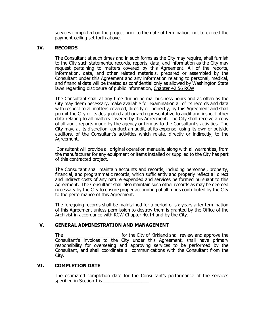services completed on the project prior to the date of termination, not to exceed the payment ceiling set forth above.

#### **IV. RECORDS**

The Consultant at such times and in such forms as the City may require, shall furnish to the City such statements, records, reports, data, and information as the City may request pertaining to matters covered by this Agreement. All of the reports, information, data, and other related materials, prepared or assembled by the Consultant under this Agreement and any information relating to personal, medical, and financial data will be treated as confidential only as allowed by Washington State laws regarding disclosure of public information, Chapter 42.56 RCW

The Consultant shall at any time during normal business hours and as often as the City may deem necessary, make available for examination all of its records and data with respect to all matters covered, directly or indirectly, by this Agreement and shall permit the City or its designated authorized representative to audit and inspect other data relating to all matters covered by this Agreement. The City shall receive a copy of all audit reports made by the agency or firm as to the Consultant's activities. The City may, at its discretion, conduct an audit, at its expense, using its own or outside auditors, of the Consultant's activities which relate, directly or indirectly, to the Agreement.

Consultant will provide all original operation manuals, along with all warranties, from the manufacturer for any equipment or items installed or supplied to the City has part of this contracted project.

The Consultant shall maintain accounts and records, including personnel, property, financial, and programmatic records, which sufficiently and properly reflect all direct and indirect costs of any nature expended and services performed pursuant to this Agreement. The Consultant shall also maintain such other records as may be deemed necessary by the City to ensure proper accounting of all funds contributed by the City to the performance of this Agreement.

The foregoing records shall be maintained for a period of six years after termination of this Agreement unless permission to destroy them is granted by the Office of the Archivist in accordance with RCW Chapter 40.14 and by the City.

#### **V. GENERAL ADMINISTRATION AND MANAGEMENT**

The \_\_\_\_\_\_\_\_\_\_\_\_\_\_\_\_\_\_\_\_\_\_ for the City of Kirkland shall review and approve the Consultant's invoices to the City under this Agreement, shall have primary responsibility for overseeing and approving services to be performed by the Consultant, and shall coordinate all communications with the Consultant from the City.

#### **VI. COMPLETION DATE**

The estimated completion date for the Consultant's performance of the services specified in Section I is \_\_\_\_\_\_\_\_\_\_\_\_\_\_\_\_\_\_.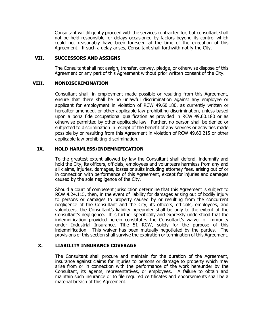Consultant will diligently proceed with the services contracted for, but consultant shall not be held responsible for delays occasioned by factors beyond its control which could not reasonably have been foreseen at the time of the execution of this Agreement. If such a delay arises, Consultant shall forthwith notify the City.

#### **VII. SUCCESSORS AND ASSIGNS**

The Consultant shall not assign, transfer, convey, pledge, or otherwise dispose of this Agreement or any part of this Agreement without prior written consent of the City.

#### **VIII. NONDISCRIMINATION**

Consultant shall, in employment made possible or resulting from this Agreement, ensure that there shall be no unlawful discrimination against any employee or applicant for employment in violation of RCW 49.60.180, as currently written or hereafter amended, or other applicable law prohibiting discrimination, unless based upon a bona fide occupational qualification as provided in RCW 49.60.180 or as otherwise permitted by other applicable law. Further, no person shall be denied or subjected to discrimination in receipt of the benefit of any services or activities made possible by or resulting from this Agreement in violation of RCW 49.60.215 or other applicable law prohibiting discrimination.

#### **IX. HOLD HARMLESS/INDEMNIFICATION**

To the greatest extent allowed by law the Consultant shall defend, indemnify and hold the City, its officers, officials, employees and volunteers harmless from any and all claims, injuries, damages, losses or suits including attorney fees, arising out of or in connection with performance of this Agreement, except for injuries and damages caused by the sole negligence of the City.

Should a court of competent jurisdiction determine that this Agreement is subject to RCW 4.24.115, then, in the event of liability for damages arising out of bodily injury to persons or damages to property caused by or resulting from the concurrent negligence of the Consultant and the City, its officers, officials, employees, and volunteers, the Consultant's liability hereunder shall be only to the extent of the Consultant's negligence. It is further specifically and expressly understood that the indemnification provided herein constitutes the Consultant's waiver of immunity under Industrial Insurance, Title 51 RCW, solely for the purpose of this indemnification. This waiver has been mutually negotiated by the parties. The provisions of this section shall survive the expiration or termination of this Agreement.

## **X. LIABILITY INSURANCE COVERAGE**

The Consultant shall procure and maintain for the duration of the Agreement, insurance against claims for injuries to persons or damage to property which may arise from or in connection with the performance of the work hereunder by the Consultant, its agents, representatives, or employees. A failure to obtain and maintain such insurance or to file required certificates and endorsements shall be a material breach of this Agreement.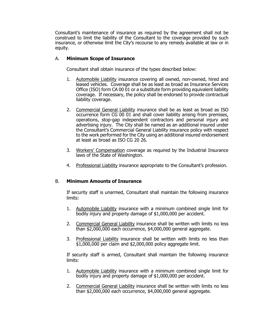Consultant's maintenance of insurance as required by the agreement shall not be construed to limit the liability of the Consultant to the coverage provided by such insurance, or otherwise limit the City's recourse to any remedy available at law or in equity.

#### A. **Minimum Scope of Insurance**

Consultant shall obtain insurance of the types described below:

- 1. Automobile Liability insurance covering all owned, non-owned, hired and leased vehicles. Coverage shall be as least as broad as Insurance Services Office (ISO) form CA 00 01 or a substitute form providing equivalent liability coverage. If necessary, the policy shall be endorsed to provide contractual liability coverage.
- 2. Commercial General Liability insurance shall be as least as broad as ISO occurrence form CG 00 01 and shall cover liability arising from premises, operations, stop-gap independent contractors and personal injury and advertising injury. The City shall be named as an additional insured under the Consultant's Commercial General Liability insurance policy with respect to the work performed for the City using an additional insured endorsement at least as broad as ISO CG 20 26.
- 3. Workers' Compensation coverage as required by the Industrial Insurance laws of the State of Washington.
- 4. Professional Liability insurance appropriate to the Consultant's profession.

## B. **Minimum Amounts of Insurance**

If security staff is unarmed, Consultant shall maintain the following insurance limits:

- 1. Automobile Liability insurance with a minimum combined single limit for bodily injury and property damage of \$1,000,000 per accident.
- 2. Commercial General Liability insurance shall be written with limits no less than \$2,000,000 each occurrence, \$4,000,000 general aggregate.
- 3. Professional Liability insurance shall be written with limits no less than \$1,000,000 per claim and \$2,000,000 policy aggregate limit.

If security staff is armed, Consultant shall maintain the following insurance limits:

- 1. Automobile Liability insurance with a minimum combined single limit for bodily injury and property damage of \$1,000,000 per accident.
- 2. Commercial General Liability insurance shall be written with limits no less than \$2,000,000 each occurrence, \$4,000,000 general aggregate.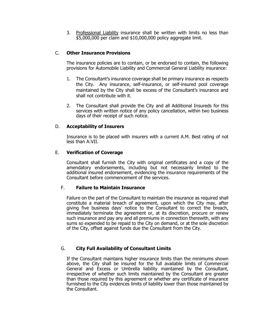3. Professional Liability insurance shall be written with limits no less than \$5,000,000 per claim and \$10,000,000 policy aggregate limit.

#### C. **Other Insurance Provisions**

The insurance policies are to contain, or be endorsed to contain, the following provisions for Automobile Liability and Commercial General Liability insurance:

- 1. The Consultant's insurance coverage shall be primary insurance as respects the City. Any insurance, self-insurance, or self-insured pool coverage maintained by the City shall be excess of the Consultant's insurance and shall not contribute with it.
- 2. The Consultant shall provide the City and all Additional Insureds for this services with written notice of any policy cancellation, within two business days of their receipt of such notice.

#### D. **Acceptability of Insurers**

Insurance is to be placed with insurers with a current A.M. Best rating of not less than A:VII.

#### E. **Verification of Coverage**

Consultant shall furnish the City with original certificates and a copy of the amendatory endorsements, including but not necessarily limited to the additional insured endorsement, evidencing the insurance requirements of the Consultant before commencement of the services.

#### F. **Failure to Maintain Insurance**

Failure on the part of the Consultant to maintain the insurance as required shall constitute a material breach of agreement, upon which the City may, after giving five business days' notice to the Consultant to correct the breach, immediately terminate the agreement or, at its discretion, procure or renew such insurance and pay any and all premiums in connection therewith, with any sums so expended to be repaid to the City on demand, or at the sole discretion of the City, offset against funds due the Consultant from the City.

#### G. **City Full Availability of Consultant Limits**

If the Consultant maintains higher insurance limits than the minimums shown above, the City shall be insured for the full available limits of Commercial General and Excess or Umbrella liability maintained by the Consultant, irrespective of whether such limits maintained by the Consultant are greater than those required by this agreement or whether any certificate of insurance furnished to the City evidences limits of liability lower than those maintained by the Consultant.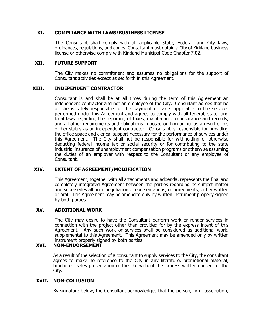#### **XI. COMPLIANCE WITH LAWS/BUSINESS LICENSE**

The Consultant shall comply with all applicable State, Federal, and City laws, ordinances, regulations, and codes. Consultant must obtain a City of Kirkland business license or otherwise comply with Kirkland Municipal Code Chapter 7.02.

#### **XII. FUTURE SUPPORT**

The City makes no commitment and assumes no obligations for the support of Consultant activities except as set forth in this Agreement.

#### **XIII. INDEPENDENT CONTRACTOR**

Consultant is and shall be at all times during the term of this Agreement an independent contractor and not an employee of the City. Consultant agrees that he or she is solely responsible for the payment of taxes applicable to the services performed under this Agreement and agrees to comply with all federal, state, and local laws regarding the reporting of taxes, maintenance of insurance and records, and all other requirements and obligations imposed on him or her as a result of his or her status as an independent contractor. Consultant is responsible for providing the office space and clerical support necessary for the performance of services under this Agreement. The City shall not be responsible for withholding or otherwise deducting federal income tax or social security or for contributing to the state industrial insurance of unemployment compensation programs or otherwise assuming the duties of an employer with respect to the Consultant or any employee of Consultant.

#### **XIV. EXTENT OF AGREEMENT/MODIFICATION**

This Agreement, together with all attachments and addenda, represents the final and completely integrated Agreement between the parties regarding its subject matter and supersedes all prior negotiations, representations, or agreements, either written or oral. This Agreement may be amended only by written instrument properly signed by both parties.

#### **XV. ADDITIONAL WORK**

The City may desire to have the Consultant perform work or render services in connection with the project other than provided for by the express intent of this Agreement. Any such work or services shall be considered as additional work, supplemental to this Agreement. This Agreement may be amended only by written instrument properly signed by both parties.

#### **XVI. NON-ENDORSEMENT**

As a result of the selection of a consultant to supply services to the City, the consultant agrees to make no reference to the City in any literature, promotional material, brochures, sales presentation or the like without the express written consent of the City.

#### **XVII. NON-COLLUSION**

By signature below, the Consultant acknowledges that the person, firm, association,